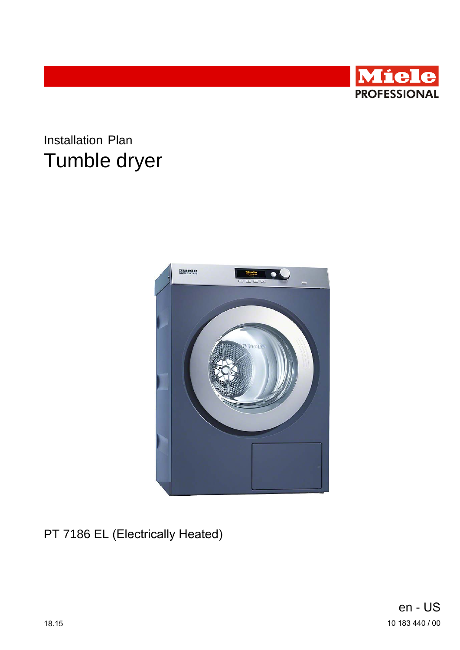

# **Installation Plan** Tumble dryer



PT 7186 EL (Electrically Heated)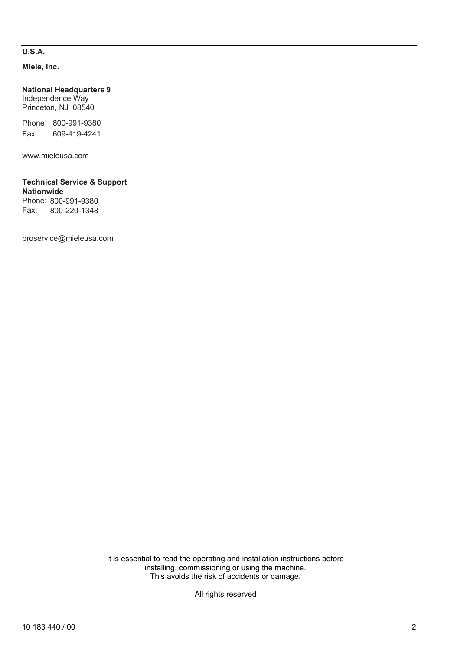### **U.S.A.**

**Miele, Inc.**

**National Headquarters 9** Independence Way Princeton, NJ 08540

Phone: 800-991-9380 Fax: 609-419-4241

www.mieleusa.com

#### **Technical Service & Support Nationwide** Phone: 800-991-9380

Fax: 800-220-1348

proservice@mieleusa.com

It is essential to read the operating and installation instructions before installing, commissioning or using the machine. This avoids the risk of accidents or damage.

All rights reserved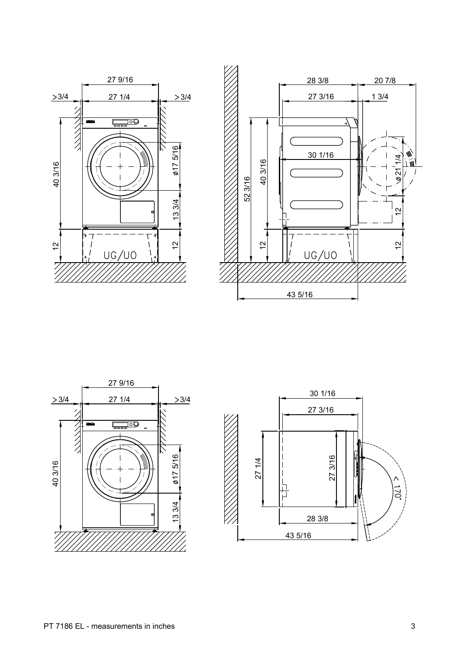





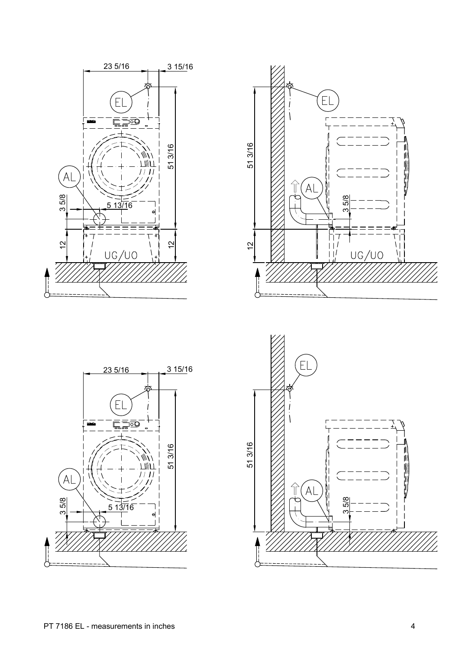





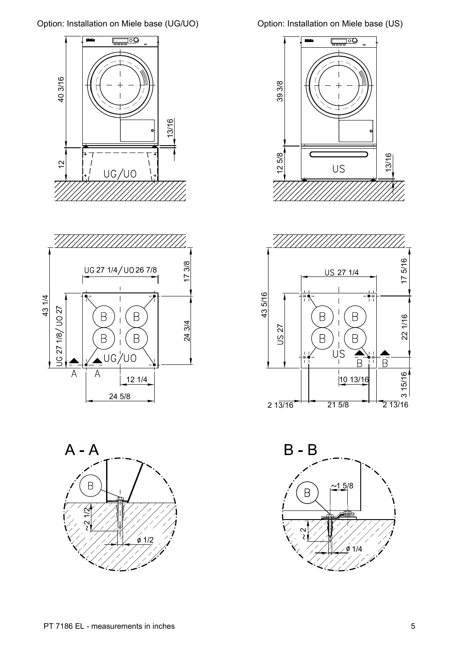









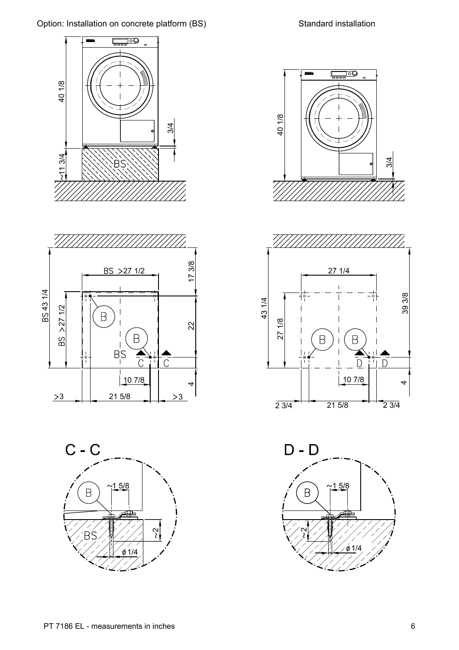









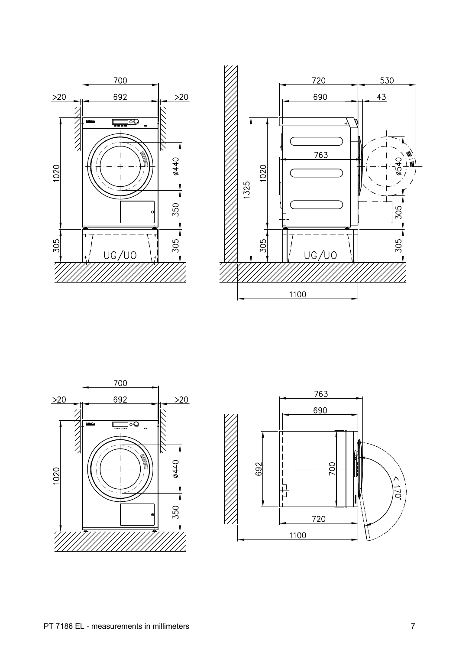





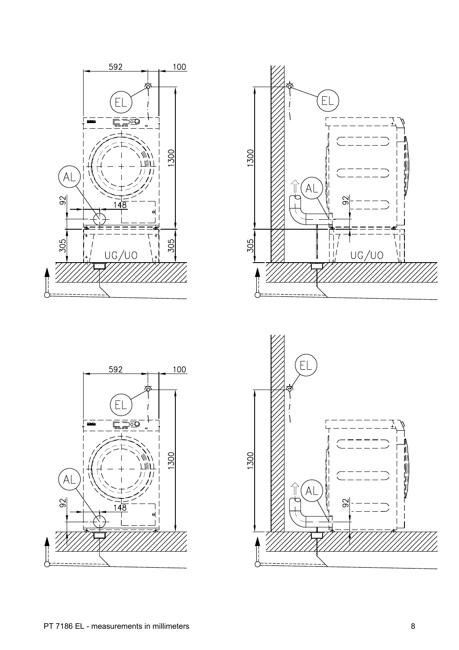





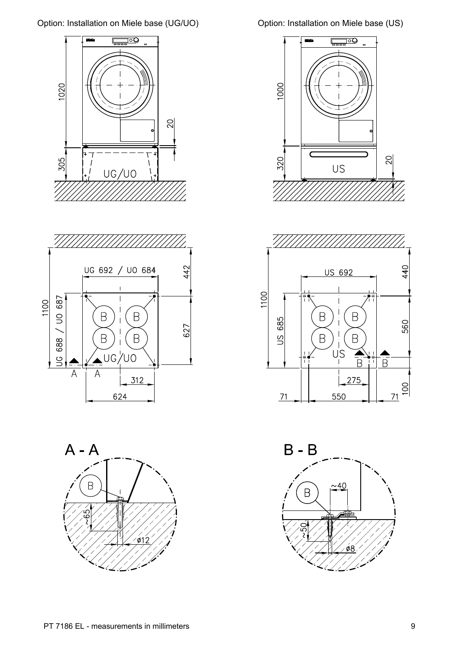









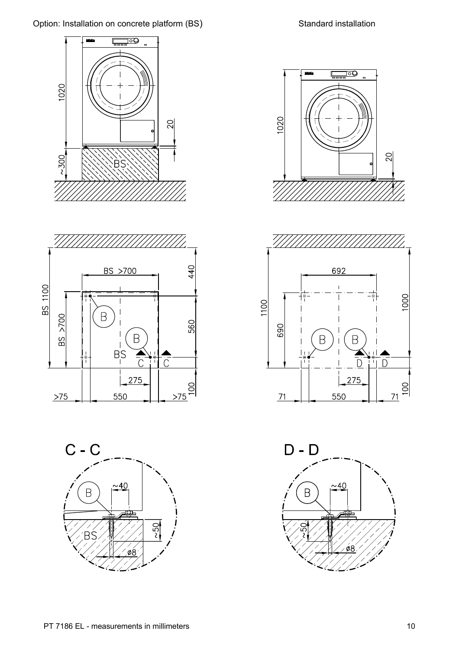









550

 $\boxed{\longrightarrow}$ 

20

1020

 $\frac{71}{2}$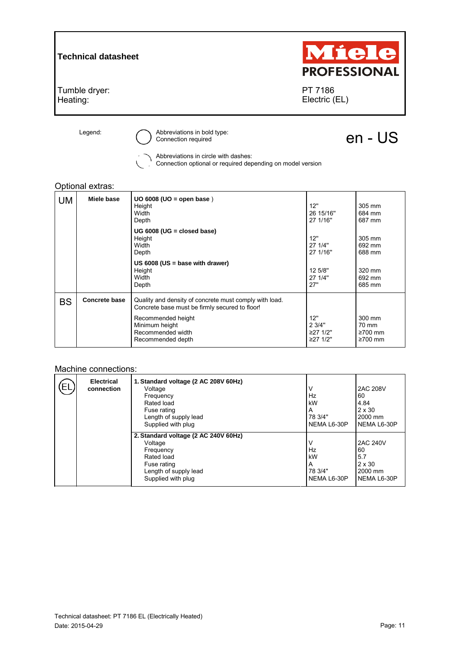

Legend: <br>  $\bigodot$  Abbreviations in bold type:<br> Connection required

## en - US

Abbreviations in circle with dashes:

Connection optional or required depending on model version

## Optional extras:

| <b>UM</b> | Miele base           | $UO$ 6008 (UO = open base)<br>Height<br>Width<br>Depth                                                   | 12"<br>26 15/16"<br>27 1/16"          | 305 mm<br>684 mm<br>687 mm                        |
|-----------|----------------------|----------------------------------------------------------------------------------------------------------|---------------------------------------|---------------------------------------------------|
|           |                      | UG 6008 (UG = closed base)<br>Height<br>Width<br>Depth                                                   | 12"<br>27 1/4"<br>27 1/16"            | 305 mm<br>692 mm<br>688 mm                        |
|           |                      | US $6008$ (US = base with drawer)<br>Height<br>Width<br>Depth                                            | 12 5/8"<br>27 1/4"<br>27"             | 320 mm<br>692 mm<br>685 mm                        |
| <b>BS</b> | <b>Concrete base</b> | Quality and density of concrete must comply with load.<br>Concrete base must be firmly secured to floor! |                                       |                                                   |
|           |                      | Recommended height<br>Minimum height<br>Recommended width<br>Recommended depth                           | 12"<br>2 3/4"<br>≥27 1/2"<br>≥27 1/2" | 300 mm<br>70 mm<br>$\geq 700$ mm<br>$\geq 700$ mm |

## Machine connections:

| ЕL | <b>Electrical</b><br>connection | 1. Standard voltage (2 AC 208V 60Hz)<br>Voltage<br>Frequency<br>Rated load<br>Fuse rating<br>Length of supply lead<br>Supplied with plug | ν<br>Hz<br>kW<br>A<br>78 3/4"<br>NEMA L6-30P | <b>2AC 208V</b><br>60<br>4.84<br>$2 \times 30$<br>2000 mm<br>NEMA L6-30P |
|----|---------------------------------|------------------------------------------------------------------------------------------------------------------------------------------|----------------------------------------------|--------------------------------------------------------------------------|
|    |                                 | 2. Standard voltage (2 AC 240V 60Hz)<br>Voltage<br>Frequency<br>Rated load<br>Fuse rating<br>Length of supply lead<br>Supplied with plug | ν<br>Hz<br>kW<br>А<br>78 3/4"<br>NEMA L6-30P | <b>2AC 240V</b><br>60<br>5.7<br>$2 \times 30$<br>2000 mm<br>NEMA L6-30P  |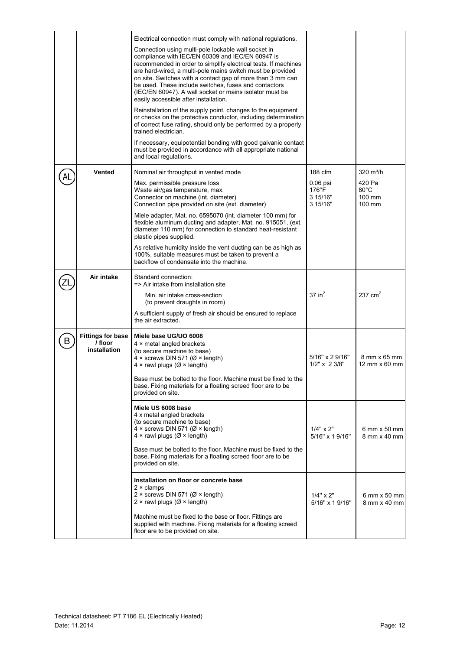|   |                                                     | Electrical connection must comply with national regulations.                                                                                                                                                                                                                                                                                                                                                                                                       |                                                       |                                              |
|---|-----------------------------------------------------|--------------------------------------------------------------------------------------------------------------------------------------------------------------------------------------------------------------------------------------------------------------------------------------------------------------------------------------------------------------------------------------------------------------------------------------------------------------------|-------------------------------------------------------|----------------------------------------------|
|   |                                                     | Connection using multi-pole lockable wall socket in<br>compliance with IEC/EN 60309 and IEC/EN 60947 is<br>recommended in order to simplify electrical tests. If machines<br>are hard-wired, a multi-pole mains switch must be provided<br>on site. Switches with a contact gap of more than 3 mm can<br>be used. These include switches, fuses and contactors<br>(IEC/EN 60947). A wall socket or mains isolator must be<br>easily accessible after installation. |                                                       |                                              |
|   |                                                     | Reinstallation of the supply point, changes to the equipment<br>or checks on the protective conductor, including determination<br>of correct fuse rating, should only be performed by a properly<br>trained electrician.                                                                                                                                                                                                                                           |                                                       |                                              |
|   |                                                     | If necessary, equipotential bonding with good galvanic contact<br>must be provided in accordance with all appropriate national<br>and local regulations.                                                                                                                                                                                                                                                                                                           |                                                       |                                              |
|   | Vented                                              | Nominal air throughput in vented mode                                                                                                                                                                                                                                                                                                                                                                                                                              | 188 cfm                                               | 320 $m^3/h$                                  |
|   |                                                     | Max. permissible pressure loss<br>Waste air/gas temperature, max.<br>Connector on machine (int. diameter)<br>Connection pipe provided on site (ext. diameter)                                                                                                                                                                                                                                                                                                      | $0.06$ psi<br>$176^{\circ}$ F<br>3 15/16"<br>3 15/16" | 420 Pa<br>$80^{\circ}$ C<br>100 mm<br>100 mm |
|   |                                                     | Miele adapter, Mat. no. 6595070 (int. diameter 100 mm) for<br>flexible aluminum ducting and adapter, Mat. no. 915051, (ext.<br>diameter 110 mm) for connection to standard heat-resistant<br>plastic pipes supplied.                                                                                                                                                                                                                                               |                                                       |                                              |
|   |                                                     | As relative humidity inside the vent ducting can be as high as<br>100%, suitable measures must be taken to prevent a<br>backflow of condensate into the machine.                                                                                                                                                                                                                                                                                                   |                                                       |                                              |
|   | Air intake                                          | Standard connection:<br>=> Air intake from installation site                                                                                                                                                                                                                                                                                                                                                                                                       |                                                       |                                              |
|   |                                                     | Min. air intake cross-section<br>(to prevent draughts in room)                                                                                                                                                                                                                                                                                                                                                                                                     | $37$ in <sup>2</sup>                                  | 237 $cm2$                                    |
|   |                                                     | A sufficient supply of fresh air should be ensured to replace<br>the air extracted.                                                                                                                                                                                                                                                                                                                                                                                |                                                       |                                              |
| в | <b>Fittings for base</b><br>/ floor<br>installation | Miele base UG/UO 6008<br>$4 \times$ metal angled brackets<br>(to secure machine to base)<br>4 x screws DIN 571 ( $\varnothing$ x length)<br>$4 \times$ rawl plugs ( $\varnothing \times$ length)<br>Base must be bolted to the floor. Machine must be fixed to the<br>base. Fixing materials for a floating screed floor are to be<br>provided on site.                                                                                                            | 5/16" x 2 9/16"<br>$1/2"$ x 2 3/8"                    | 8 mm x 65 mm<br>12 mm x 60 mm                |
|   |                                                     | Miele US 6008 base<br>4 x metal angled brackets<br>(to secure machine to base)<br>$4 \times$ screws DIN 571 ( $\varnothing \times$ length)<br>4 x rawl plugs ( $\varnothing$ x length)<br>Base must be bolted to the floor. Machine must be fixed to the<br>base. Fixing materials for a floating screed floor are to be<br>provided on site.                                                                                                                      | $1/4" \times 2"$<br>5/16" x 1 9/16"                   | 6 mm x 50 mm<br>8 mm x 40 mm                 |
|   |                                                     | Installation on floor or concrete base<br>$2 \times$ clamps<br>2 × screws DIN 571 (Ø × length)<br>2 × rawl plugs ( $\varnothing$ × length)<br>Machine must be fixed to the base or floor. Fittings are<br>supplied with machine. Fixing materials for a floating screed<br>floor are to be provided on site.                                                                                                                                                       | $1/4" \times 2"$<br>5/16" x 1 9/16"                   | 6 mm x 50 mm<br>8 mm x 40 mm                 |